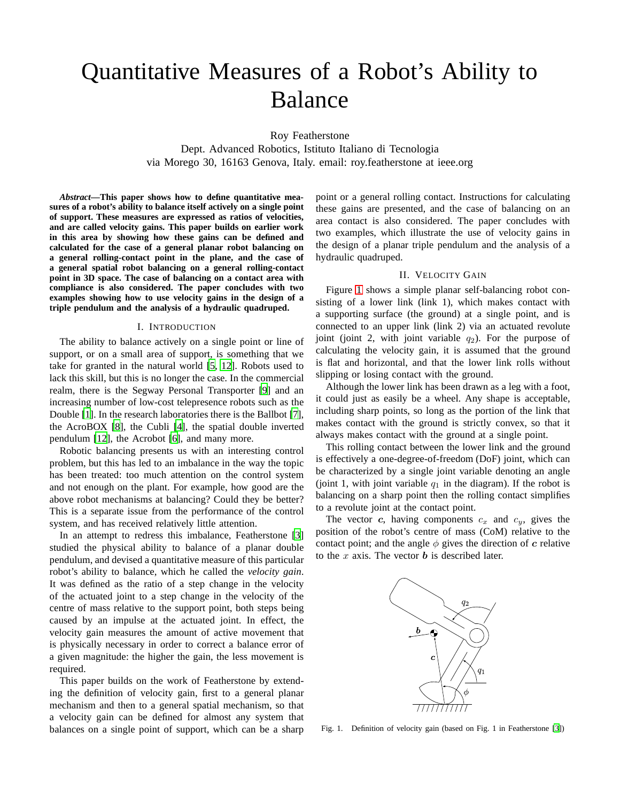# Quantitative Measures of a Robot's Ability to Balance

Roy Featherstone

Dept. Advanced Robotics, Istituto Italiano di Tecnologia via Morego 30, 16163 Genova, Italy. email: roy.featherstone at ieee.org

*Abstract***—This paper shows how to define quantitative measures of a robot's ability to balance itself actively on a single point of support. These measures are expressed as ratios of velocities, and are called velocity gains. This paper builds on earlier work in this area by showing how these gains can be defined and calculated for the case of a general planar robot balancing on a general rolling-contact point in the plane, and the case of a general spatial robot balancing on a general rolling-contact point in 3D space. The case of balancing on a contact area with compliance is also considered. The paper concludes with two examples showing how to use velocity gains in the design of a triple pendulum and the analysis of a hydraulic quadruped.**

#### I. INTRODUCTION

The ability to balance actively on a single point or line of support, or on a small area of support, is something that we take for granted in the natural world [\[5,](#page-7-0) [12\]](#page-7-1). Robots used to lack this skill, but this is no longer the case. In the commercial realm, there is the Segway Personal Transporter [\[9](#page-7-2)] and an increasing number of low-cost telepresence robots such as the Double [\[1](#page-7-3)]. In the research laboratories there is the Ballbot [\[7](#page-7-4)], the AcroBOX [\[8\]](#page-7-5), the Cubli [\[4\]](#page-7-6), the spatial double inverted pendulum [\[12\]](#page-7-1), the Acrobot [\[6\]](#page-7-7), and many more.

Robotic balancing presents us with an interesting control problem, but this has led to an imbalance in the way the topic has been treated: too much attention on the control system and not enough on the plant. For example, how good are the above robot mechanisms at balancing? Could they be better? This is a separate issue from the performance of the control system, and has received relatively little attention.

In an attempt to redress this imbalance, Featherstone [\[3\]](#page-7-8) studied the physical ability to balance of a planar double pendulum, and devised a quantitative measure of this particular robot's ability to balance, which he called the *velocity gain*. It was defined as the ratio of a step change in the velocity of the actuated joint to a step change in the velocity of the centre of mass relative to the support point, both steps being caused by an impulse at the actuated joint. In effect, the velocity gain measures the amount of active movement that is physically necessary in order to correct a balance error of a given magnitude: the higher the gain, the less movement is required.

This paper builds on the work of Featherstone by extending the definition of velocity gain, first to a general planar mechanism and then to a general spatial mechanism, so that a velocity gain can be defined for almost any system that balances on a single point of support, which can be a sharp point or a general rolling contact. Instructions for calculating these gains are presented, and the case of balancing on an area contact is also considered. The paper concludes with two examples, which illustrate the use of velocity gains in the design of a planar triple pendulum and the analysis of a hydraulic quadruped.

## II. VELOCITY GAIN

<span id="page-0-1"></span>Figure [1](#page-0-0) shows a simple planar self-balancing robot consisting of a lower link (link 1), which makes contact with a supporting surface (the ground) at a single point, and is connected to an upper link (link 2) via an actuated revolute joint (joint 2, with joint variable  $q_2$ ). For the purpose of calculating the velocity gain, it is assumed that the ground is flat and horizontal, and that the lower link rolls without slipping or losing contact with the ground.

Although the lower link has been drawn as a leg with a foot, it could just as easily be a wheel. Any shape is acceptable, including sharp points, so long as the portion of the link that makes contact with the ground is strictly convex, so that it always makes contact with the ground at a single point.

This rolling contact between the lower link and the ground is effectively a one-degree-of-freedom (DoF) joint, which can be characterized by a single joint variable denoting an angle (joint 1, with joint variable  $q_1$  in the diagram). If the robot is balancing on a sharp point then the rolling contact simplifies to a revolute joint at the contact point.

The vector  $c$ , having components  $c_x$  and  $c_y$ , gives the position of the robot's centre of mass (CoM) relative to the contact point; and the angle  $\phi$  gives the direction of c relative to the  $x$  axis. The vector  $\boldsymbol{b}$  is described later.



<span id="page-0-0"></span>Fig. 1. Definition of velocity gain (based on Fig. 1 in Featherstone [\[3](#page-7-8)])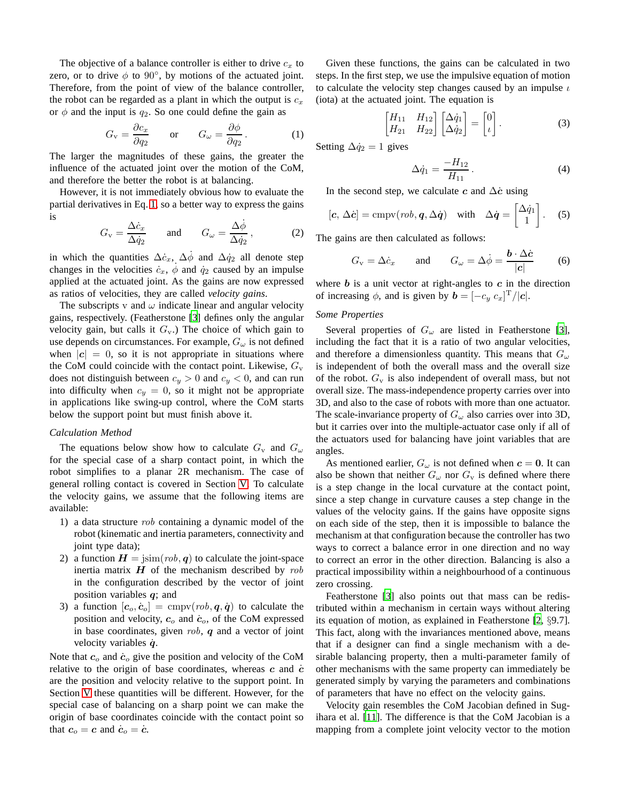The objective of a balance controller is either to drive  $c<sub>x</sub>$  to zero, or to drive  $\phi$  to 90°, by motions of the actuated joint. Therefore, from the point of view of the balance controller, the robot can be regarded as a plant in which the output is  $c_x$ or  $\phi$  and the input is  $q_2$ . So one could define the gain as

$$
G_{\rm v} = \frac{\partial c_x}{\partial q_2} \qquad \text{or} \qquad G_{\omega} = \frac{\partial \phi}{\partial q_2} \,. \tag{1}
$$

The larger the magnitudes of these gains, the greater the influence of the actuated joint over the motion of the CoM, and therefore the better the robot is at balancing.

However, it is not immediately obvious how to evaluate the partial derivatives in Eq. [1,](#page-1-0) so a better way to express the gains is

$$
G_{\rm v} = \frac{\Delta \dot{c}_x}{\Delta \dot{q}_2} \quad \text{and} \quad G_{\omega} = \frac{\Delta \dot{\phi}}{\Delta \dot{q}_2}, \quad (2)
$$

in which the quantities  $\Delta \dot{c}_x$ ,  $\Delta \dot{\phi}$  and  $\Delta \dot{q}_2$  all denote step changes in the velocities  $\dot{c}_x$ ,  $\phi$  and  $\dot{q}_2$  caused by an impulse applied at the actuated joint. As the gains are now expressed as ratios of velocities, they are called *velocity gains*.

The subscripts v and  $\omega$  indicate linear and angular velocity gains, respectively. (Featherstone [\[3\]](#page-7-8) defines only the angular velocity gain, but calls it  $G_v$ .) The choice of which gain to use depends on circumstances. For example,  $G_{\omega}$  is not defined when  $|c| = 0$ , so it is not appropriate in situations where the CoM could coincide with the contact point. Likewise,  $G_v$ does not distinguish between  $c_y > 0$  and  $c_y < 0$ , and can run into difficulty when  $c_y = 0$ , so it might not be appropriate in applications like swing-up control, where the CoM starts below the support point but must finish above it.

## *Calculation Method*

The equations below show how to calculate  $G_v$  and  $G_\omega$ for the special case of a sharp contact point, in which the robot simplifies to a planar 2R mechanism. The case of general rolling contact is covered in Section [V.](#page-3-0) To calculate the velocity gains, we assume that the following items are available:

- 1) a data structure rob containing a dynamic model of the robot (kinematic and inertia parameters, connectivity and joint type data);
- 2) a function  $H = \lim (rob, q)$  to calculate the joint-space inertia matrix  $H$  of the mechanism described by  $rob$ in the configuration described by the vector of joint position variables  $q$ ; and
- 3) a function  $[c_0, \dot{c}_0] = \text{cmpv}(rob, q, \dot{q})$  to calculate the position and velocity,  $c<sub>o</sub>$  and  $\dot{c}<sub>o</sub>$ , of the CoM expressed in base coordinates, given  $rob$ ,  $q$  and a vector of joint velocity variables  $\dot{q}$ .

Note that  $c<sub>o</sub>$  and  $\dot{c}<sub>o</sub>$  give the position and velocity of the CoM relative to the origin of base coordinates, whereas  $c$  and  $\dot{c}$ are the position and velocity relative to the support point. In Section [V](#page-3-0) these quantities will be different. However, for the special case of balancing on a sharp point we can make the origin of base coordinates coincide with the contact point so that  $c_o = c$  and  $\dot{c}_o = \dot{c}$ .

Given these functions, the gains can be calculated in two steps. In the first step, we use the impulsive equation of motion to calculate the velocity step changes caused by an impulse  $\iota$ (iota) at the actuated joint. The equation is

$$
\begin{bmatrix} H_{11} & H_{12} \\ H_{21} & H_{22} \end{bmatrix} \begin{bmatrix} \Delta \dot{q}_1 \\ \Delta \dot{q}_2 \end{bmatrix} = \begin{bmatrix} 0 \\ \iota \end{bmatrix}.
$$
 (3)

<span id="page-1-0"></span>Setting  $\Delta \dot{q}_2 = 1$  gives

<span id="page-1-1"></span>
$$
\Delta \dot{q}_1 = \frac{-H_{12}}{H_{11}}.
$$
\n(4)

In the second step, we calculate c and  $\Delta \dot{c}$  using

$$
[\mathbf{c}, \Delta \dot{\mathbf{c}}] = \text{cmpv}(rob, \mathbf{q}, \Delta \dot{\mathbf{q}}) \quad \text{with} \quad \Delta \dot{\mathbf{q}} = \begin{bmatrix} \Delta \dot{q}_1 \\ 1 \end{bmatrix}. \quad (5)
$$

The gains are then calculated as follows:

$$
G_v = \Delta \dot{c}_x
$$
 and  $G_{\omega} = \Delta \dot{\phi} = \frac{\mathbf{b} \cdot \Delta \dot{\mathbf{c}}}{|\mathbf{c}|}$  (6)

where  $\boldsymbol{b}$  is a unit vector at right-angles to  $\boldsymbol{c}$  in the direction of increasing  $\phi$ , and is given by  $\mathbf{b} = [-c_y \ c_x]^T / |\mathbf{c}|$ .

#### *Some Properties*

Several properties of  $G_{\omega}$  are listed in Featherstone [\[3](#page-7-8)], including the fact that it is a ratio of two angular velocities, and therefore a dimensionless quantity. This means that  $G_{\omega}$ is independent of both the overall mass and the overall size of the robot.  $G_v$  is also independent of overall mass, but not overall size. The mass-independence property carries over into 3D, and also to the case of robots with more than one actuator. The scale-invariance property of  $G_{\omega}$  also carries over into 3D, but it carries over into the multiple-actuator case only if all of the actuators used for balancing have joint variables that are angles.

As mentioned earlier,  $G_{\omega}$  is not defined when  $c = 0$ . It can also be shown that neither  $G_{\omega}$  nor  $G_{\nu}$  is defined where there is a step change in the local curvature at the contact point, since a step change in curvature causes a step change in the values of the velocity gains. If the gains have opposite signs on each side of the step, then it is impossible to balance the mechanism at that configuration because the controller has two ways to correct a balance error in one direction and no way to correct an error in the other direction. Balancing is also a practical impossibility within a neighbourhood of a continuous zero crossing.

Featherstone [\[3](#page-7-8)] also points out that mass can be redistributed within a mechanism in certain ways without altering its equation of motion, as explained in Featherstone [\[2,](#page-7-9) §9.7]. This fact, along with the invariances mentioned above, means that if a designer can find a single mechanism with a desirable balancing property, then a multi-parameter family of other mechanisms with the same property can immediately be generated simply by varying the parameters and combinations of parameters that have no effect on the velocity gains.

Velocity gain resembles the CoM Jacobian defined in Sugihara et al. [\[11\]](#page-7-10). The difference is that the CoM Jacobian is a mapping from a complete joint velocity vector to the motion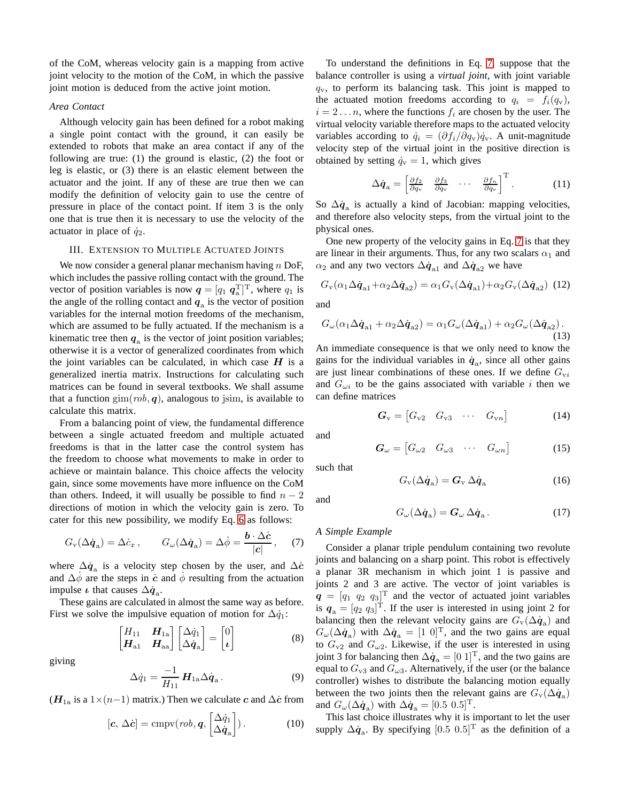of the CoM, whereas velocity gain is a mapping from active joint velocity to the motion of the CoM, in which the passive joint motion is deduced from the active joint motion.

#### *Area Contact*

Although velocity gain has been defined for a robot making a single point contact with the ground, it can easily be extended to robots that make an area contact if any of the following are true: (1) the ground is elastic, (2) the foot or leg is elastic, or (3) there is an elastic element between the actuator and the joint. If any of these are true then we can modify the definition of velocity gain to use the centre of pressure in place of the contact point. If item 3 is the only one that is true then it is necessary to use the velocity of the actuator in place of  $\dot{q}_2$ .

## III. EXTENSION TO MULTIPLE ACTUATED JOINTS

We now consider a general planar mechanism having  $n$  DoF, which includes the passive rolling contact with the ground. The vector of position variables is now  $q = [q_1 \; q_a^T]^T$ , where  $q_1$  is the angle of the rolling contact and  $q_a$  is the vector of position variables for the internal motion freedoms of the mechanism, which are assumed to be fully actuated. If the mechanism is a kinematic tree then  $q_a$  is the vector of joint position variables; otherwise it is a vector of generalized coordinates from which the joint variables can be calculated, in which case  $H$  is a generalized inertia matrix. Instructions for calculating such matrices can be found in several textbooks. We shall assume that a function  $\text{gim}(rob, q)$ , analogous to jsim, is available to calculate this matrix.

From a balancing point of view, the fundamental difference between a single actuated freedom and multiple actuated freedoms is that in the latter case the control system has the freedom to choose what movements to make in order to achieve or maintain balance. This choice affects the velocity gain, since some movements have more influence on the CoM than others. Indeed, it will usually be possible to find  $n - 2$ directions of motion in which the velocity gain is zero. To cater for this new possibility, we modify Eq. [6](#page-1-1) as follows:

$$
G_{\rm v}(\Delta \dot{q}_{\rm a}) = \Delta \dot{c}_x , \qquad G_{\omega}(\Delta \dot{q}_{\rm a}) = \Delta \dot{\phi} = \frac{\boldsymbol{b} \cdot \Delta \dot{c}}{|c|} , \quad (7)
$$

where  $\Delta \dot{q}_a$  is a velocity step chosen by the user, and  $\Delta \dot{c}$ and  $\Delta \dot{\phi}$  are the steps in c and  $\dot{\phi}$  resulting from the actuation impulse  $\iota$  that causes  $\Delta \dot{q}_a$ .

These gains are calculated in almost the same way as before. First we solve the impulsive equation of motion for  $\Delta \dot{q}_1$ :

$$
\begin{bmatrix} H_{11} & H_{1a} \\ H_{a1} & H_{aa} \end{bmatrix} \begin{bmatrix} \Delta \dot{q}_1 \\ \Delta \dot{q}_a \end{bmatrix} = \begin{bmatrix} 0 \\ \iota \end{bmatrix}
$$
 (8)

<span id="page-2-2"></span>giving

$$
\Delta \dot{q}_1 = \frac{-1}{H_{11}} H_{1a} \Delta \dot{q}_a. \tag{9}
$$

( $H_{1a}$  is a 1×(n−1) matrix.) Then we calculate c and  $\Delta \dot{c}$  from

$$
[\mathbf{c}, \Delta \dot{\mathbf{c}}] = \text{cmpv}(rob, \mathbf{q}, \begin{bmatrix} \Delta \dot{q}_1 \\ \Delta \dot{q}_a \end{bmatrix}). \tag{10}
$$

To understand the definitions in Eq. [7,](#page-2-0) suppose that the balance controller is using a *virtual joint*, with joint variable  $q_v$ , to perform its balancing task. This joint is mapped to the actuated motion freedoms according to  $q_i = f_i(q_v)$ ,  $i = 2 \dots n$ , where the functions  $f_i$  are chosen by the user. The virtual velocity variable therefore maps to the actuated velocity variables according to  $\dot{q}_i = (\partial f_i/\partial q_v)\dot{q}_v$ . A unit-magnitude velocity step of the virtual joint in the positive direction is obtained by setting  $\dot{q}_v = 1$ , which gives

$$
\Delta \dot{\boldsymbol{q}}_{\rm a} = \begin{bmatrix} \frac{\partial f_2}{\partial q_{\rm v}} & \frac{\partial f_3}{\partial q_{\rm v}} & \cdots & \frac{\partial f_n}{\partial q_{\rm v}} \end{bmatrix}^{\rm T} . \tag{11}
$$

So  $\Delta \dot{q}_a$  is actually a kind of Jacobian: mapping velocities, and therefore also velocity steps, from the virtual joint to the physical ones.

One new property of the velocity gains in Eq. [7](#page-2-0) is that they are linear in their arguments. Thus, for any two scalars  $\alpha_1$  and  $\alpha_2$  and any two vectors  $\Delta \dot{q}_{a1}$  and  $\Delta \dot{q}_{a2}$  we have

$$
G_{\rm v}(\alpha_1 \Delta \dot{q}_{\rm a1} + \alpha_2 \Delta \dot{q}_{\rm a2}) = \alpha_1 G_{\rm v}(\Delta \dot{q}_{\rm a1}) + \alpha_2 G_{\rm v}(\Delta \dot{q}_{\rm a2}) \tag{12}
$$

and

$$
G_{\omega}(\alpha_1 \Delta \dot{q}_{a1} + \alpha_2 \Delta \dot{q}_{a2}) = \alpha_1 G_{\omega}(\Delta \dot{q}_{a1}) + \alpha_2 G_{\omega}(\Delta \dot{q}_{a2}).
$$
\n(13)

An immediate consequence is that we only need to know the gains for the individual variables in  $\dot{q}_a$ , since all other gains are just linear combinations of these ones. If we define  $G_{vi}$ and  $G_{\omega i}$  to be the gains associated with variable i then we can define matrices

$$
\boldsymbol{G}_{\rm v} = \begin{bmatrix} G_{\rm v2} & G_{\rm v3} & \cdots & G_{\rm vn} \end{bmatrix} \tag{14}
$$

and

$$
G_{\omega} = \begin{bmatrix} G_{\omega 2} & G_{\omega 3} & \cdots & G_{\omega n} \end{bmatrix}
$$
 (15)

such that

and

$$
G_{\rm v}(\Delta \dot{\boldsymbol{q}}_{\rm a}) = \boldsymbol{G}_{\rm v} \,\Delta \dot{\boldsymbol{q}}_{\rm a} \tag{16}
$$

 $(17)$ 

$$
G_\omega (\Delta \dot{\boldsymbol{q}}_{\rm a}) = \boldsymbol{G}_\omega \, \Delta \dot{\boldsymbol{q}}_{\rm a} \, .
$$

## <span id="page-2-0"></span>*A Simple Example*

<span id="page-2-1"></span>Consider a planar triple pendulum containing two revolute joints and balancing on a sharp point. This robot is effectively a planar 3R mechanism in which joint 1 is passive and joints 2 and 3 are active. The vector of joint variables is  $\mathbf{q} = [q_1 \ q_2 \ q_3]^{\text{T}}$  and the vector of actuated joint variables is  $q_a = [q_2 \, q_3]^T$ . If the user is interested in using joint 2 for balancing then the relevant velocity gains are  $G_v(\Delta \dot{q}_a)$  and  $G_{\omega}(\Delta \dot{q}_a)$  with  $\Delta \dot{q}_a = [1 \ 0]^T$ , and the two gains are equal to  $G_{v2}$  and  $G_{\omega 2}$ . Likewise, if the user is interested in using joint 3 for balancing then  $\Delta \dot{q}_a = [0 \; 1]^T$ , and the two gains are equal to  $G_{v3}$  and  $G_{\omega 3}$ . Alternatively, if the user (or the balance controller) wishes to distribute the balancing motion equally between the two joints then the relevant gains are  $G_v(\Delta \dot{q}_a)$ and  $G_{\omega}(\Delta \dot{q}_a)$  with  $\Delta \dot{q}_a = [0.5 \ 0.5]^T$ .

This last choice illustrates why it is important to let the user supply  $\Delta \dot{q}_a$ . By specifying  $[0.5 \ 0.5]^T$  as the definition of a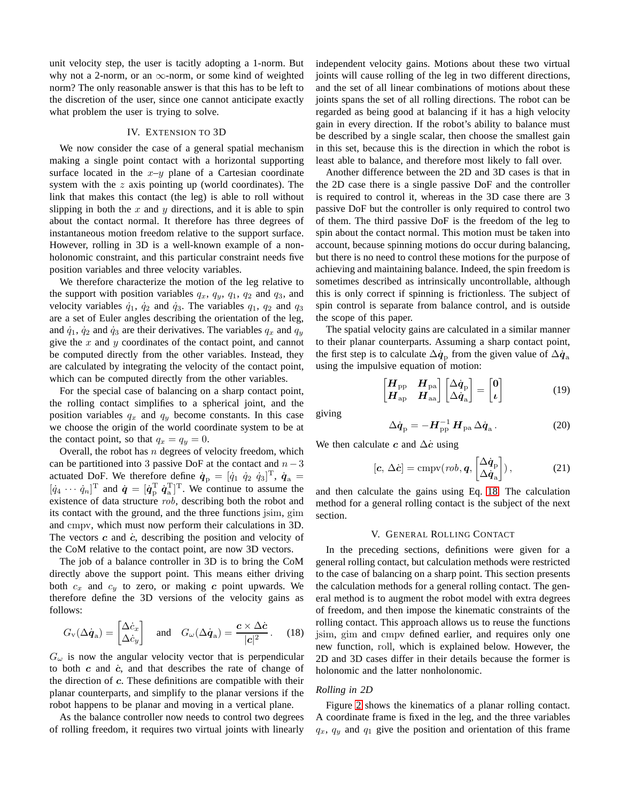unit velocity step, the user is tacitly adopting a 1-norm. But why not a 2-norm, or an  $\infty$ -norm, or some kind of weighted norm? The only reasonable answer is that this has to be left to the discretion of the user, since one cannot anticipate exactly what problem the user is trying to solve.

## IV. EXTENSION TO 3D

We now consider the case of a general spatial mechanism making a single point contact with a horizontal supporting surface located in the  $x-y$  plane of a Cartesian coordinate system with the  $z$  axis pointing up (world coordinates). The link that makes this contact (the leg) is able to roll without slipping in both the  $x$  and  $y$  directions, and it is able to spin about the contact normal. It therefore has three degrees of instantaneous motion freedom relative to the support surface. However, rolling in 3D is a well-known example of a nonholonomic constraint, and this particular constraint needs five position variables and three velocity variables.

We therefore characterize the motion of the leg relative to the support with position variables  $q_x$ ,  $q_y$ ,  $q_1$ ,  $q_2$  and  $q_3$ , and velocity variables  $\dot{q}_1$ ,  $\dot{q}_2$  and  $\dot{q}_3$ . The variables  $q_1$ ,  $q_2$  and  $q_3$ are a set of Euler angles describing the orientation of the leg, and  $\dot{q}_1$ ,  $\dot{q}_2$  and  $\dot{q}_3$  are their derivatives. The variables  $q_x$  and  $q_y$ give the  $x$  and  $y$  coordinates of the contact point, and cannot be computed directly from the other variables. Instead, they are calculated by integrating the velocity of the contact point, which can be computed directly from the other variables.

For the special case of balancing on a sharp contact point, the rolling contact simplifies to a spherical joint, and the position variables  $q_x$  and  $q_y$  become constants. In this case we choose the origin of the world coordinate system to be at the contact point, so that  $q_x = q_y = 0$ .

Overall, the robot has  $n$  degrees of velocity freedom, which can be partitioned into 3 passive DoF at the contact and  $n-3$ actuated DoF. We therefore define  $\dot{\boldsymbol{q}}_p = [\dot{q}_1 \ \dot{q}_2 \ \dot{q}_3]^T$ ,  $\dot{\boldsymbol{q}}_a =$  $[\dot{q}_4 \cdots \dot{q}_n]^{\text{T}}$  and  $\dot{q} = [\dot{q}_{\text{p}}^{\text{T}} \dot{q}_\text{a}^{\text{T}}]^{\text{T}}$ . We continue to assume the existence of data structure rob, describing both the robot and its contact with the ground, and the three functions jsim, gim and cmpv, which must now perform their calculations in 3D. The vectors  $c$  and  $\dot{c}$ , describing the position and velocity of the CoM relative to the contact point, are now 3D vectors.

The job of a balance controller in 3D is to bring the CoM directly above the support point. This means either driving both  $c_x$  and  $c_y$  to zero, or making c point upwards. We therefore define the 3D versions of the velocity gains as follows:

<span id="page-3-1"></span>
$$
G_{\rm v}(\Delta \dot{\boldsymbol{q}}_{\rm a}) = \begin{bmatrix} \Delta \dot{c}_x \\ \Delta \dot{c}_y \end{bmatrix} \quad \text{and} \quad G_{\omega}(\Delta \dot{\boldsymbol{q}}_{\rm a}) = \frac{\boldsymbol{c} \times \Delta \dot{\boldsymbol{c}}}{|\boldsymbol{c}|^2} \,. \tag{18}
$$

 $G_{\omega}$  is now the angular velocity vector that is perpendicular to both  $c$  and  $\dot{c}$ , and that describes the rate of change of the direction of c. These definitions are compatible with their planar counterparts, and simplify to the planar versions if the robot happens to be planar and moving in a vertical plane.

As the balance controller now needs to control two degrees of rolling freedom, it requires two virtual joints with linearly

independent velocity gains. Motions about these two virtual joints will cause rolling of the leg in two different directions, and the set of all linear combinations of motions about these joints spans the set of all rolling directions. The robot can be regarded as being good at balancing if it has a high velocity gain in every direction. If the robot's ability to balance must be described by a single scalar, then choose the smallest gain in this set, because this is the direction in which the robot is least able to balance, and therefore most likely to fall over.

Another difference between the 2D and 3D cases is that in the 2D case there is a single passive DoF and the controller is required to control it, whereas in the 3D case there are 3 passive DoF but the controller is only required to control two of them. The third passive DoF is the freedom of the leg to spin about the contact normal. This motion must be taken into account, because spinning motions do occur during balancing, but there is no need to control these motions for the purpose of achieving and maintaining balance. Indeed, the spin freedom is sometimes described as intrinsically uncontrollable, although this is only correct if spinning is frictionless. The subject of spin control is separate from balance control, and is outside the scope of this paper.

The spatial velocity gains are calculated in a similar manner to their planar counterparts. Assuming a sharp contact point, the first step is to calculate  $\Delta \dot{q}_p$  from the given value of  $\Delta \dot{q}_a$ using the impulsive equation of motion:

$$
\begin{bmatrix} \boldsymbol{H}_{\text{pp}} & \boldsymbol{H}_{\text{pa}} \\ \boldsymbol{H}_{\text{ap}} & \boldsymbol{H}_{\text{aa}} \end{bmatrix} \begin{bmatrix} \Delta \boldsymbol{\dot{q}}_{\text{p}} \\ \Delta \boldsymbol{\dot{q}}_{\text{a}} \end{bmatrix} = \begin{bmatrix} \boldsymbol{0} \\ \boldsymbol{\iota} \end{bmatrix} \tag{19}
$$

giving

$$
\Delta \dot{\boldsymbol{q}}_{\rm p} = -\boldsymbol{H}_{\rm pp}^{-1} \, \boldsymbol{H}_{\rm pa} \, \Delta \dot{\boldsymbol{q}}_{\rm a} \,. \tag{20}
$$

We then calculate c and  $\Delta\dot{c}$  using

$$
[\mathbf{c}, \Delta \dot{\mathbf{c}}] = \text{cmpv}(rob, \mathbf{q}, \begin{bmatrix} \Delta \dot{\mathbf{q}}_{\text{p}} \\ \Delta \dot{\mathbf{q}}_{\text{a}} \end{bmatrix}), \tag{21}
$$

and then calculate the gains using Eq. [18.](#page-3-1) The calculation method for a general rolling contact is the subject of the next section.

## V. GENERAL ROLLING CONTACT

<span id="page-3-0"></span>In the preceding sections, definitions were given for a general rolling contact, but calculation methods were restricted to the case of balancing on a sharp point. This section presents the calculation methods for a general rolling contact. The general method is to augment the robot model with extra degrees of freedom, and then impose the kinematic constraints of the rolling contact. This approach allows us to reuse the functions jsim, gim and cmpv defined earlier, and requires only one new function, roll, which is explained below. However, the 2D and 3D cases differ in their details because the former is holonomic and the latter nonholonomic.

# *Rolling in 2D*

Figure [2](#page-4-0) shows the kinematics of a planar rolling contact. A coordinate frame is fixed in the leg, and the three variables  $q_x$ ,  $q_y$  and  $q_1$  give the position and orientation of this frame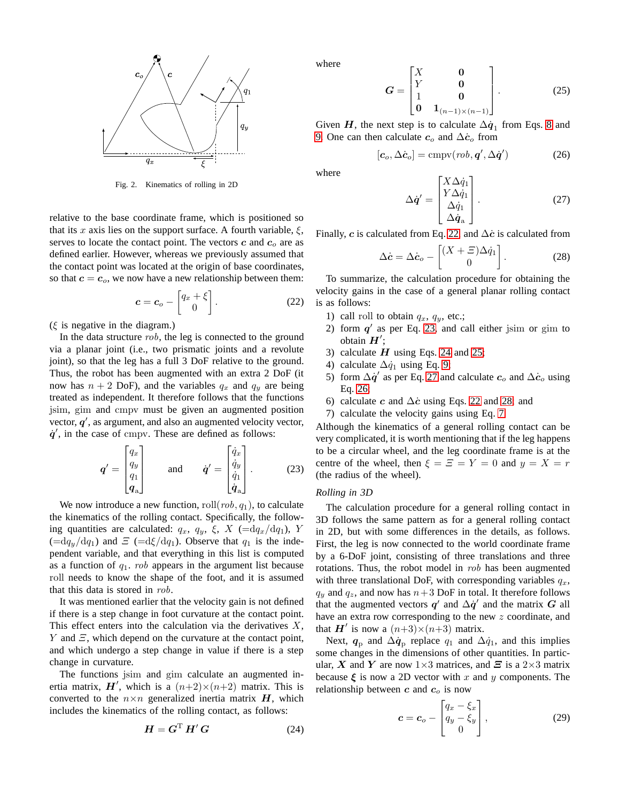

<span id="page-4-0"></span>Fig. 2. Kinematics of rolling in 2D

relative to the base coordinate frame, which is positioned so that its x axis lies on the support surface. A fourth variable,  $\xi$ , serves to locate the contact point. The vectors  $c$  and  $c<sub>o</sub>$  are as defined earlier. However, whereas we previously assumed that the contact point was located at the origin of base coordinates, so that  $c = c<sub>o</sub>$ , we now have a new relationship between them:

$$
\boldsymbol{c} = \boldsymbol{c}_o - \begin{bmatrix} q_x + \xi \\ 0 \end{bmatrix} . \tag{22}
$$

 $(\xi$  is negative in the diagram.)

In the data structure rob, the leg is connected to the ground via a planar joint (i.e., two prismatic joints and a revolute joint), so that the leg has a full 3 DoF relative to the ground. Thus, the robot has been augmented with an extra 2 DoF (it now has  $n + 2$  DoF), and the variables  $q_x$  and  $q_y$  are being treated as independent. It therefore follows that the functions jsim, gim and cmpv must be given an augmented position vector,  $q'$ , as argument, and also an augmented velocity vector,  $\dot{q}$ , in the case of cmpv. These are defined as follows:

$$
\mathbf{q}' = \begin{bmatrix} q_x \\ q_y \\ q_1 \\ q_a \end{bmatrix} \quad \text{and} \quad \mathbf{q}' = \begin{bmatrix} \dot{q}_x \\ \dot{q}_y \\ \dot{q}_1 \\ \dot{q}_a \end{bmatrix} . \tag{23}
$$

We now introduce a new function,  $roll(rob, q_1)$ , to calculate the kinematics of the rolling contact. Specifically, the following quantities are calculated:  $q_x$ ,  $q_y$ ,  $\xi$ ,  $X$  ( $=dq_x/dq_1$ ),  $Y$  $(=\mathrm{d}q_y/\mathrm{d}q_1)$  and  $\Xi$  ( $=\mathrm{d}\xi/\mathrm{d}q_1$ ). Observe that  $q_1$  is the independent variable, and that everything in this list is computed as a function of  $q_1$ . *rob* appears in the argument list because roll needs to know the shape of the foot, and it is assumed that this data is stored in rob.

It was mentioned earlier that the velocity gain is not defined if there is a step change in foot curvature at the contact point. This effect enters into the calculation via the derivatives  $X$ , Y and  $\Xi$ , which depend on the curvature at the contact point, and which undergo a step change in value if there is a step change in curvature.

The functions jsim and gim calculate an augmented inertia matrix,  $H'$ , which is a  $(n+2)\times(n+2)$  matrix. This is converted to the  $n \times n$  generalized inertia matrix  $H$ , which includes the kinematics of the rolling contact, as follows:

$$
H = G^{\mathrm{T}} H' G \tag{24}
$$

<span id="page-4-4"></span>where

$$
G = \begin{bmatrix} X & 0 \\ Y & 0 \\ 1 & 0 \\ 0 & 1_{(n-1)\times(n-1)} \end{bmatrix} .
$$
 (25)

Given  $H$ , the next step is to calculate  $\Delta \dot{q}_1$  from Eqs. [8](#page-2-1) and [9.](#page-2-2) One can then calculate  $c_o$  and  $\Delta \dot{c}_o$  from

$$
[\mathbf{c}_o, \Delta \dot{\mathbf{c}}_o] = \text{cmpv}(rob, \mathbf{q}', \Delta \dot{\mathbf{q}}')
$$
 (26)

<span id="page-4-5"></span>where

<span id="page-4-7"></span><span id="page-4-6"></span>
$$
\Delta \dot{\mathbf{q}}' = \begin{bmatrix} X \Delta \dot{q}_1 \\ Y \Delta \dot{q}_1 \\ \Delta \dot{q}_1 \\ \Delta \dot{\mathbf{q}}_a \end{bmatrix} . \tag{27}
$$

Finally, c is calculated from Eq. [22,](#page-4-1) and  $\Delta \dot{c}$  is calculated from

$$
\Delta \dot{\mathbf{c}} = \Delta \dot{\mathbf{c}}_o - \begin{bmatrix} (X + \Xi)\Delta \dot{q}_1 \\ 0 \end{bmatrix}.
$$
 (28)

<span id="page-4-1"></span>To summarize, the calculation procedure for obtaining the velocity gains in the case of a general planar rolling contact is as follows:

- 1) call roll to obtain  $q_x$ ,  $q_y$ , etc.;
- 2) form  $q'$  as per Eq. [23,](#page-4-2) and call either jsim or gim to obtain  $H'$ ;
- 3) calculate  $H$  using Eqs. [24](#page-4-3) and [25;](#page-4-4)
- 4) calculate  $\Delta \dot{q}_1$  using Eq. [9;](#page-2-2)
- 5) form  $\Delta \dot{q}'$  as per Eq. [27](#page-4-5) and calculate  $c_o$  and  $\Delta \dot{c}_o$  using Eq. [26;](#page-4-6)
- 6) calculate c and  $\Delta \dot{c}$  using Eqs. [22](#page-4-1) and [28;](#page-4-7) and
- 7) calculate the velocity gains using Eq. [7.](#page-2-0)

<span id="page-4-2"></span>Although the kinematics of a general rolling contact can be very complicated, it is worth mentioning that if the leg happens to be a circular wheel, and the leg coordinate frame is at the centre of the wheel, then  $\xi = \overline{z} = Y = 0$  and  $y = X = r$ (the radius of the wheel).

#### *Rolling in 3D*

The calculation procedure for a general rolling contact in 3D follows the same pattern as for a general rolling contact in 2D, but with some differences in the details, as follows. First, the leg is now connected to the world coordinate frame by a 6-DoF joint, consisting of three translations and three rotations. Thus, the robot model in rob has been augmented with three translational DoF, with corresponding variables  $q_x$ ,  $q_y$  and  $q_z$ , and now has  $n+3$  DoF in total. It therefore follows that the augmented vectors q' and  $\Delta \dot{q}$ ' and the matrix G all have an extra row corresponding to the new z coordinate, and that  $H'$  is now a  $(n+3) \times (n+3)$  matrix.

<span id="page-4-3"></span>Next,  $q_{\rm p}$  and  $\Delta \dot{q}_{\rm p}$  replace  $q_1$  and  $\Delta \dot{q}_1$ , and this implies some changes in the dimensions of other quantities. In particular, X and Y are now  $1\times3$  matrices, and  $\Xi$  is a  $2\times3$  matrix because  $\xi$  is now a 2D vector with x and y components. The relationship between  $c$  and  $c<sub>o</sub>$  is now

$$
\boldsymbol{c} = \boldsymbol{c}_o - \begin{bmatrix} q_x - \xi_x \\ q_y - \xi_y \\ 0 \end{bmatrix}, \qquad (29)
$$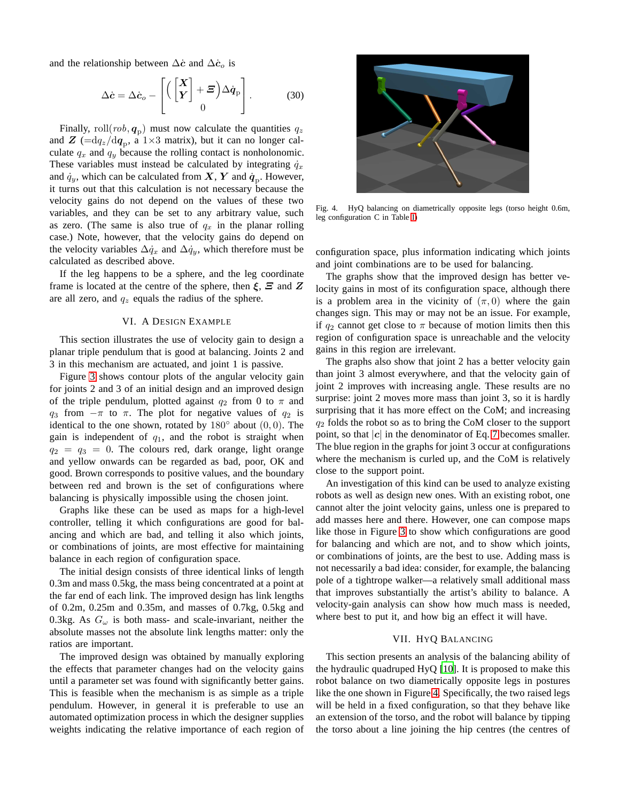and the relationship between  $\Delta \dot{c}$  and  $\Delta \dot{c}$  is

$$
\Delta \dot{\mathbf{c}} = \Delta \dot{\mathbf{c}}_o - \left[ \left( \begin{bmatrix} \mathbf{X} \\ \mathbf{Y} \end{bmatrix} + \boldsymbol{\Xi} \right) \Delta \dot{\mathbf{q}}_p \right]. \tag{30}
$$

Finally, roll $(rob, \boldsymbol{q}_p)$  must now calculate the quantities  $q_z$ and  $\boldsymbol{Z}$  ( $=\frac{dq_z}{dq_p}$ , a 1×3 matrix), but it can no longer calculate  $q_x$  and  $q_y$  because the rolling contact is nonholonomic. These variables must instead be calculated by integrating  $\dot{q}_x$ and  $\dot{q}_y$ , which can be calculated from  $X$ ,  $Y$  and  $\dot{q}_p$ . However, it turns out that this calculation is not necessary because the velocity gains do not depend on the values of these two variables, and they can be set to any arbitrary value, such as zero. (The same is also true of  $q_x$  in the planar rolling case.) Note, however, that the velocity gains do depend on the velocity variables  $\Delta \dot{q}_x$  and  $\Delta \dot{q}_y$ , which therefore must be calculated as described above.

If the leg happens to be a sphere, and the leg coordinate frame is located at the centre of the sphere, then  $\xi$ ,  $\Xi$  and  $Z$ are all zero, and  $q_z$  equals the radius of the sphere.

# VI. A DESIGN EXAMPLE

This section illustrates the use of velocity gain to design a planar triple pendulum that is good at balancing. Joints 2 and 3 in this mechanism are actuated, and joint 1 is passive.

Figure [3](#page-6-0) shows contour plots of the angular velocity gain for joints 2 and 3 of an initial design and an improved design of the triple pendulum, plotted against  $q_2$  from 0 to  $\pi$  and  $q_3$  from  $-\pi$  to  $\pi$ . The plot for negative values of  $q_2$  is identical to the one shown, rotated by  $180^\circ$  about  $(0,0)$ . The gain is independent of  $q_1$ , and the robot is straight when  $q_2 = q_3 = 0$ . The colours red, dark orange, light orange and yellow onwards can be regarded as bad, poor, OK and good. Brown corresponds to positive values, and the boundary between red and brown is the set of configurations where balancing is physically impossible using the chosen joint.

Graphs like these can be used as maps for a high-level controller, telling it which configurations are good for balancing and which are bad, and telling it also which joints, or combinations of joints, are most effective for maintaining balance in each region of configuration space.

The initial design consists of three identical links of length 0.3m and mass 0.5kg, the mass being concentrated at a point at the far end of each link. The improved design has link lengths of 0.2m, 0.25m and 0.35m, and masses of 0.7kg, 0.5kg and 0.3kg. As  $G_{\omega}$  is both mass- and scale-invariant, neither the absolute masses not the absolute link lengths matter: only the ratios are important.

The improved design was obtained by manually exploring the effects that parameter changes had on the velocity gains until a parameter set was found with significantly better gains. This is feasible when the mechanism is as simple as a triple pendulum. However, in general it is preferable to use an automated optimization process in which the designer supplies weights indicating the relative importance of each region of



Fig. 4. HyQ balancing on diametrically opposite legs (torso height 0.6m, leg configuration C in Table [I\)](#page-6-1)

<span id="page-5-0"></span>configuration space, plus information indicating which joints and joint combinations are to be used for balancing.

The graphs show that the improved design has better velocity gains in most of its configuration space, although there is a problem area in the vicinity of  $(\pi, 0)$  where the gain changes sign. This may or may not be an issue. For example, if  $q_2$  cannot get close to  $\pi$  because of motion limits then this region of configuration space is unreachable and the velocity gains in this region are irrelevant.

The graphs also show that joint 2 has a better velocity gain than joint 3 almost everywhere, and that the velocity gain of joint 2 improves with increasing angle. These results are no surprise: joint 2 moves more mass than joint 3, so it is hardly surprising that it has more effect on the CoM; and increasing  $q_2$  folds the robot so as to bring the CoM closer to the support point, so that  $|c|$  in the denominator of Eq. [7](#page-2-0) becomes smaller. The blue region in the graphs for joint 3 occur at configurations where the mechanism is curled up, and the CoM is relatively close to the support point.

An investigation of this kind can be used to analyze existing robots as well as design new ones. With an existing robot, one cannot alter the joint velocity gains, unless one is prepared to add masses here and there. However, one can compose maps like those in Figure [3](#page-6-0) to show which configurations are good for balancing and which are not, and to show which joints, or combinations of joints, are the best to use. Adding mass is not necessarily a bad idea: consider, for example, the balancing pole of a tightrope walker—a relatively small additional mass that improves substantially the artist's ability to balance. A velocity-gain analysis can show how much mass is needed, where best to put it, and how big an effect it will have.

# VII. HYQ BALANCING

This section presents an analysis of the balancing ability of the hydraulic quadruped HyQ [\[10\]](#page-7-11). It is proposed to make this robot balance on two diametrically opposite legs in postures like the one shown in Figure [4.](#page-5-0) Specifically, the two raised legs will be held in a fixed configuration, so that they behave like an extension of the torso, and the robot will balance by tipping the torso about a line joining the hip centres (the centres of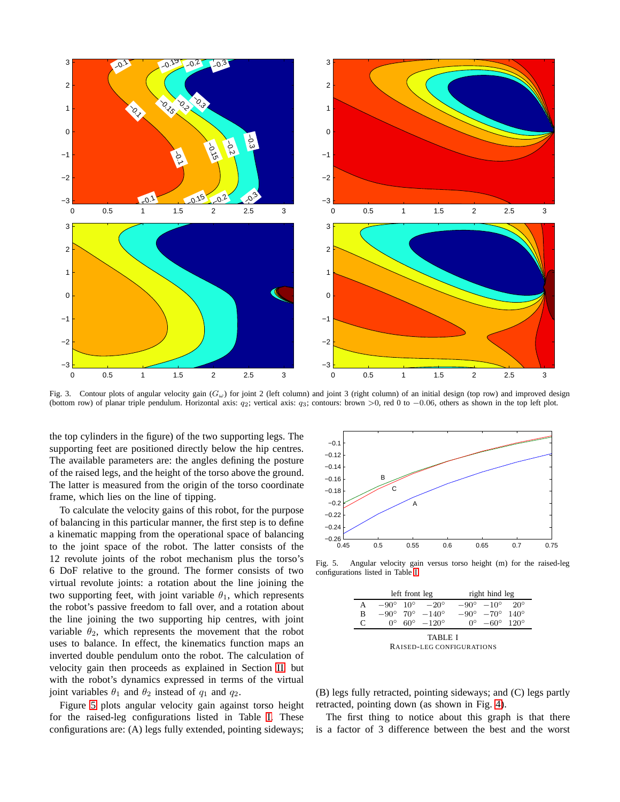

<span id="page-6-0"></span>Fig. 3. Contour plots of angular velocity gain  $(G_\omega)$  for joint 2 (left column) and joint 3 (right column) of an initial design (top row) and improved design (bottom row) of planar triple pendulum. Horizontal axis:  $q_2$ ; vertical axis:  $q_3$ ; contours: brown >0, red 0 to -0.06, others as shown in the top left plot.

the top cylinders in the figure) of the two supporting legs. The supporting feet are positioned directly below the hip centres. The available parameters are: the angles defining the posture of the raised legs, and the height of the torso above the ground. The latter is measured from the origin of the torso coordinate frame, which lies on the line of tipping.

To calculate the velocity gains of this robot, for the purpose of balancing in this particular manner, the first step is to define a kinematic mapping from the operational space of balancing to the joint space of the robot. The latter consists of the 12 revolute joints of the robot mechanism plus the torso's 6 DoF relative to the ground. The former consists of two virtual revolute joints: a rotation about the line joining the two supporting feet, with joint variable  $\theta_1$ , which represents the robot's passive freedom to fall over, and a rotation about the line joining the two supporting hip centres, with joint variable  $\theta_2$ , which represents the movement that the robot uses to balance. In effect, the kinematics function maps an inverted double pendulum onto the robot. The calculation of velocity gain then proceeds as explained in Section [II,](#page-0-1) but with the robot's dynamics expressed in terms of the virtual joint variables  $\theta_1$  and  $\theta_2$  instead of  $q_1$  and  $q_2$ .

Figure [5](#page-6-2) plots angular velocity gain against torso height for the raised-leg configurations listed in Table [I.](#page-6-1) These configurations are: (A) legs fully extended, pointing sideways;



Fig. 5. Angular velocity gain versus torso height (m) for the raised-leg configurations listed in Table [I](#page-6-1)

<span id="page-6-2"></span>

|           | left front leg |  |                                              | right hind leg |                                              |  |
|-----------|----------------|--|----------------------------------------------|----------------|----------------------------------------------|--|
| А         |                |  | $-90^{\circ}$ 10 <sup>°</sup> $-20^{\circ}$  |                | $-90^{\circ}$ $-10^{\circ}$ 20 <sup>°</sup>  |  |
| в         |                |  | $-90^{\circ}$ 70 <sup>°</sup> $-140^{\circ}$ |                | $-90^{\circ}$ $-70^{\circ}$ 140 <sup>°</sup> |  |
| $\subset$ | ∩∘             |  | $60^{\circ}$ $-120^{\circ}$                  | ∩∘             | $-60^{\circ}$ 120 <sup>°</sup>               |  |

<span id="page-6-1"></span>TABLE I RAISED-LEG CONFIGURATIONS

(B) legs fully retracted, pointing sideways; and (C) legs partly retracted, pointing down (as shown in Fig. [4\)](#page-5-0).

The first thing to notice about this graph is that there is a factor of 3 difference between the best and the worst